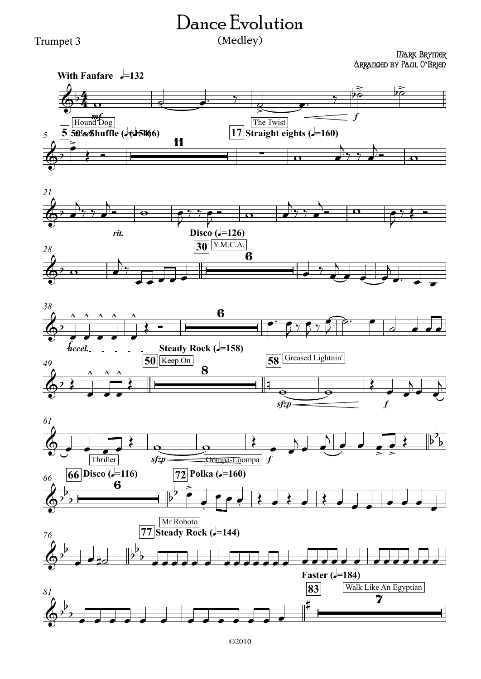## Trumpet 3

## Dance Evolution

## (Medley)

Mark Brymer Arranged by Paul O**'**Brien